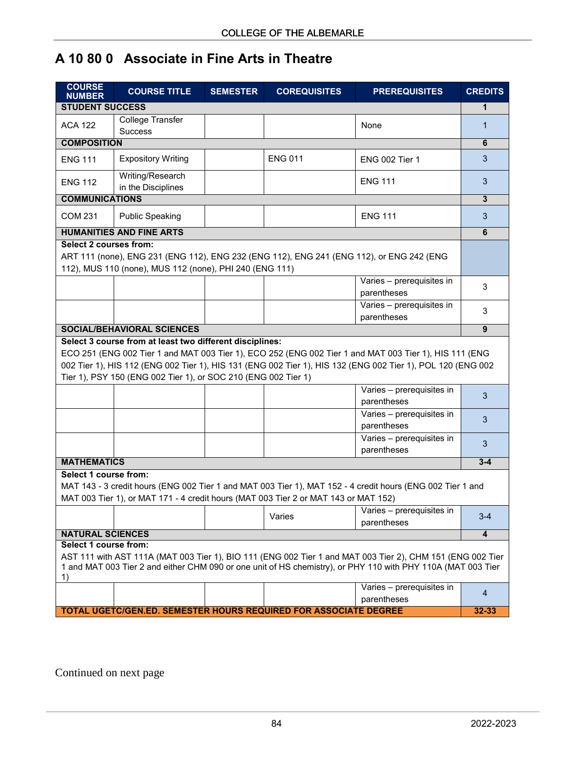## **A 10 80 0 Associate in Fine Arts in Theatre**

| <b>COURSE</b><br><b>NUMBER</b>                                                                                                                                                                                                                                                                                                                      | <b>COURSE TITLE</b>                    | <b>SEMESTER</b> | <b>COREQUISITES</b> | <b>PREREQUISITES</b>                     | <b>CREDITS</b> |  |
|-----------------------------------------------------------------------------------------------------------------------------------------------------------------------------------------------------------------------------------------------------------------------------------------------------------------------------------------------------|----------------------------------------|-----------------|---------------------|------------------------------------------|----------------|--|
| <b>STUDENT SUCCESS</b>                                                                                                                                                                                                                                                                                                                              |                                        |                 |                     |                                          |                |  |
| <b>ACA 122</b>                                                                                                                                                                                                                                                                                                                                      | College Transfer<br><b>Success</b>     |                 |                     | None                                     | $\mathbf 1$    |  |
| <b>COMPOSITION</b>                                                                                                                                                                                                                                                                                                                                  |                                        |                 |                     |                                          |                |  |
| <b>ENG 111</b>                                                                                                                                                                                                                                                                                                                                      | <b>Expository Writing</b>              |                 | <b>ENG 011</b>      | <b>ENG 002 Tier 1</b>                    | 3              |  |
| <b>ENG 112</b>                                                                                                                                                                                                                                                                                                                                      | Writing/Research<br>in the Disciplines |                 |                     | <b>ENG 111</b>                           | 3              |  |
| <b>COMMUNICATIONS</b>                                                                                                                                                                                                                                                                                                                               |                                        |                 |                     |                                          | $\mathbf{3}$   |  |
| <b>COM 231</b>                                                                                                                                                                                                                                                                                                                                      | <b>Public Speaking</b>                 |                 |                     | <b>ENG 111</b>                           | 3              |  |
|                                                                                                                                                                                                                                                                                                                                                     | <b>HUMANITIES AND FINE ARTS</b>        |                 |                     |                                          | 6              |  |
| <b>Select 2 courses from:</b><br>ART 111 (none), ENG 231 (ENG 112), ENG 232 (ENG 112), ENG 241 (ENG 112), or ENG 242 (ENG<br>112), MUS 110 (none), MUS 112 (none), PHI 240 (ENG 111)                                                                                                                                                                |                                        |                 |                     |                                          |                |  |
|                                                                                                                                                                                                                                                                                                                                                     |                                        |                 |                     | Varies - prerequisites in<br>parentheses | 3              |  |
|                                                                                                                                                                                                                                                                                                                                                     |                                        |                 |                     | Varies - prerequisites in<br>parentheses | 3              |  |
| <b>SOCIAL/BEHAVIORAL SCIENCES</b>                                                                                                                                                                                                                                                                                                                   |                                        |                 |                     |                                          |                |  |
| Select 3 course from at least two different disciplines:<br>ECO 251 (ENG 002 Tier 1 and MAT 003 Tier 1), ECO 252 (ENG 002 Tier 1 and MAT 003 Tier 1), HIS 111 (ENG<br>002 Tier 1), HIS 112 (ENG 002 Tier 1), HIS 131 (ENG 002 Tier 1), HIS 132 (ENG 002 Tier 1), POL 120 (ENG 002<br>Tier 1), PSY 150 (ENG 002 Tier 1), or SOC 210 (ENG 002 Tier 1) |                                        |                 |                     |                                          |                |  |
|                                                                                                                                                                                                                                                                                                                                                     |                                        |                 |                     | Varies - prerequisites in<br>parentheses | 3              |  |
|                                                                                                                                                                                                                                                                                                                                                     |                                        |                 |                     | Varies - prerequisites in<br>parentheses | 3              |  |
|                                                                                                                                                                                                                                                                                                                                                     |                                        |                 |                     | Varies - prerequisites in<br>parentheses | 3              |  |
| <b>MATHEMATICS</b>                                                                                                                                                                                                                                                                                                                                  |                                        |                 |                     |                                          | $3 - 4$        |  |
| Select 1 course from:<br>MAT 143 - 3 credit hours (ENG 002 Tier 1 and MAT 003 Tier 1), MAT 152 - 4 credit hours (ENG 002 Tier 1 and<br>MAT 003 Tier 1), or MAT 171 - 4 credit hours (MAT 003 Tier 2 or MAT 143 or MAT 152)                                                                                                                          |                                        |                 |                     |                                          |                |  |
|                                                                                                                                                                                                                                                                                                                                                     |                                        |                 | Varies              | Varies - prerequisites in<br>parentheses | $3-4$<br>4     |  |
| <b>NATURAL SCIENCES</b>                                                                                                                                                                                                                                                                                                                             |                                        |                 |                     |                                          |                |  |
| Select 1 course from:<br>AST 111 with AST 111A (MAT 003 Tier 1), BIO 111 (ENG 002 Tier 1 and MAT 003 Tier 2), CHM 151 (ENG 002 Tier<br>1 and MAT 003 Tier 2 and either CHM 090 or one unit of HS chemistry), or PHY 110 with PHY 110A (MAT 003 Tier<br>1)                                                                                           |                                        |                 |                     |                                          |                |  |
|                                                                                                                                                                                                                                                                                                                                                     |                                        |                 |                     | Varies - prerequisites in<br>parentheses | 4              |  |
| <b>TOTAL UGETC/GEN.ED. SEMESTER HOURS REQUIRED FOR ASSOCIATE DEGREE</b>                                                                                                                                                                                                                                                                             |                                        |                 |                     |                                          |                |  |

Continued on next page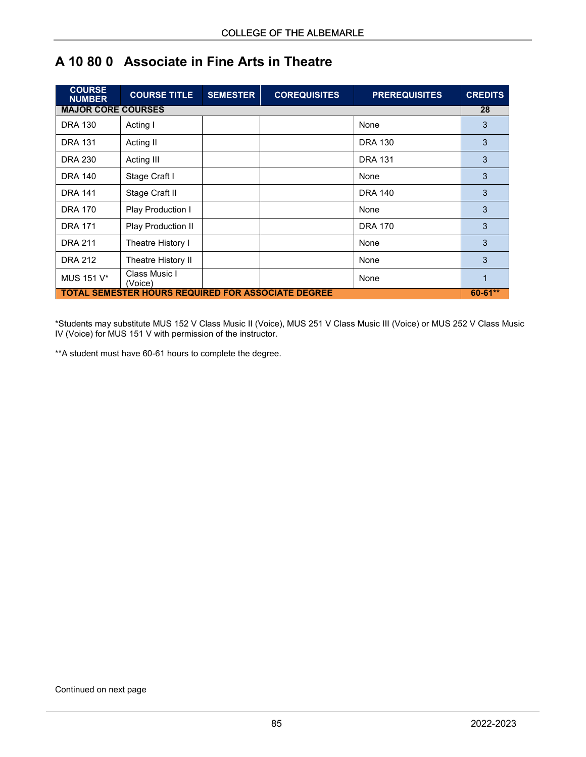| <b>COURSE</b><br><b>NUMBER</b>                            | <b>COURSE TITLE</b>      | <b>SEMESTER</b> | <b>COREQUISITES</b> | <b>PREREQUISITES</b> | <b>CREDITS</b>                |
|-----------------------------------------------------------|--------------------------|-----------------|---------------------|----------------------|-------------------------------|
| <b>MAJOR CORE COURSES</b>                                 |                          |                 |                     |                      |                               |
| <b>DRA 130</b>                                            | Acting I                 |                 |                     | None                 | 3                             |
| <b>DRA 131</b>                                            | Acting II                |                 |                     | <b>DRA 130</b>       | 3                             |
| <b>DRA 230</b>                                            | Acting III               |                 |                     | <b>DRA 131</b>       | 3                             |
| <b>DRA 140</b>                                            | Stage Craft I            |                 |                     | None                 | 3                             |
| <b>DRA 141</b>                                            | Stage Craft II           |                 |                     | <b>DRA 140</b>       | 3                             |
| <b>DRA 170</b>                                            | Play Production I        |                 |                     | None                 | 3                             |
| <b>DRA 171</b>                                            | Play Production II       |                 |                     | <b>DRA 170</b>       | 3                             |
| <b>DRA 211</b>                                            | Theatre History I        |                 |                     | None                 | 3                             |
| <b>DRA 212</b>                                            | Theatre History II       |                 |                     | None                 | 3                             |
| MUS 151 V*                                                | Class Music I<br>(Voice) |                 |                     | None                 | $\overline{1}$<br>$60 - 61**$ |
| <b>TOTAL SEMESTER HOURS REQUIRED FOR ASSOCIATE DEGREE</b> |                          |                 |                     |                      |                               |

## **A 10 80 0 Associate in Fine Arts in Theatre**

\*Students may substitute MUS 152 V Class Music II (Voice), MUS 251 V Class Music III (Voice) or MUS 252 V Class Music IV (Voice) for MUS 151 V with permission of the instructor.

\*\*A student must have 60-61 hours to complete the degree.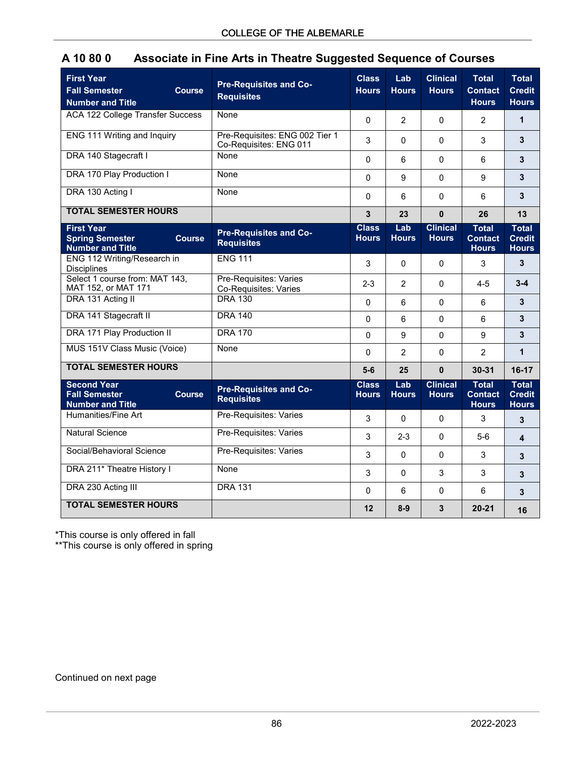| <b>First Year</b><br><b>Fall Semester</b><br><b>Course</b><br><b>Number and Title</b>   | <b>Pre-Requisites and Co-</b><br><b>Requisites</b>       | <b>Class</b><br><b>Hours</b> | Lab<br><b>Hours</b> | <b>Clinical</b><br><b>Hours</b> | <b>Total</b><br><b>Contact</b><br><b>Hours</b> | <b>Total</b><br><b>Credit</b><br><b>Hours</b> |
|-----------------------------------------------------------------------------------------|----------------------------------------------------------|------------------------------|---------------------|---------------------------------|------------------------------------------------|-----------------------------------------------|
| <b>ACA 122 College Transfer Success</b>                                                 | None                                                     | $\Omega$                     | $\overline{2}$      | $\mathbf{0}$                    | $\overline{2}$                                 | $\mathbf{1}$                                  |
| <b>ENG 111 Writing and Inquiry</b>                                                      | Pre-Requisites: ENG 002 Tier 1<br>Co-Requisites: ENG 011 | 3                            | $\Omega$            | $\Omega$                        | 3                                              | 3                                             |
| DRA 140 Stagecraft I                                                                    | None                                                     | $\Omega$                     | 6                   | $\mathbf{0}$                    | 6                                              | 3                                             |
| DRA 170 Play Production I                                                               | None                                                     | $\mathbf 0$                  | 9                   | $\Omega$                        | 9                                              | 3                                             |
| DRA 130 Acting I                                                                        | None                                                     | 0                            | 6                   | 0                               | 6                                              | 3                                             |
| <b>TOTAL SEMESTER HOURS</b>                                                             |                                                          | 3                            | 23                  | $\mathbf{0}$                    | 26                                             | 13                                            |
| <b>First Year</b><br><b>Spring Semester</b><br><b>Course</b><br><b>Number and Title</b> | <b>Pre-Requisites and Co-</b><br><b>Requisites</b>       | <b>Class</b><br><b>Hours</b> | Lab<br><b>Hours</b> | <b>Clinical</b><br><b>Hours</b> | <b>Total</b><br><b>Contact</b><br><b>Hours</b> | <b>Total</b><br><b>Credit</b><br><b>Hours</b> |
| ENG 112 Writing/Research in<br><b>Disciplines</b>                                       | <b>ENG 111</b>                                           | 3                            | $\Omega$            | $\Omega$                        | 3                                              | 3                                             |
| Select 1 course from: MAT 143,<br>MAT 152, or MAT 171                                   | Pre-Requisites: Varies<br>Co-Requisites: Varies          | $2 - 3$                      | $\overline{2}$      | $\Omega$                        | $4 - 5$                                        | $3 - 4$                                       |
| DRA 131 Acting II                                                                       | <b>DRA 130</b>                                           | $\Omega$                     | 6                   | $\Omega$                        | 6                                              | 3                                             |
| DRA 141 Stagecraft II                                                                   | <b>DRA 140</b>                                           | $\Omega$                     | 6                   | $\Omega$                        | 6                                              | 3                                             |
| DRA 171 Play Production II                                                              | <b>DRA 170</b>                                           | $\Omega$                     | 9                   | $\Omega$                        | 9                                              | 3                                             |
| MUS 151V Class Music (Voice)                                                            | None                                                     | $\Omega$                     | $\overline{2}$      | $\mathbf{0}$                    | 2                                              | 1                                             |
| <b>TOTAL SEMESTER HOURS</b>                                                             |                                                          | $5-6$                        | 25                  | $\mathbf{0}$                    | $30 - 31$                                      | $16-17$                                       |
| <b>Second Year</b><br><b>Fall Semester</b><br><b>Course</b><br><b>Number and Title</b>  | <b>Pre-Requisites and Co-</b><br><b>Requisites</b>       | <b>Class</b><br><b>Hours</b> | Lab<br><b>Hours</b> | <b>Clinical</b><br><b>Hours</b> | <b>Total</b><br><b>Contact</b><br><b>Hours</b> | <b>Total</b><br><b>Credit</b><br><b>Hours</b> |
| Humanities/Fine Art                                                                     | Pre-Requisites: Varies                                   | 3                            | $\mathbf 0$         | $\mathbf 0$                     | 3                                              | 3                                             |
| <b>Natural Science</b>                                                                  | Pre-Requisites: Varies                                   | 3                            | $2 - 3$             | $\Omega$                        | 5-6                                            | 4                                             |
| Social/Behavioral Science                                                               | <b>Pre-Requisites: Varies</b>                            | 3                            | $\mathbf 0$         | 0                               | 3                                              | 3                                             |
| DRA 211* Theatre History I                                                              | None                                                     | 3                            | $\mathbf 0$         | 3                               | 3                                              | 3                                             |
| DRA 230 Acting III                                                                      | <b>DRA 131</b>                                           | $\Omega$                     | 6                   | $\mathbf{0}$                    | 6                                              | 3                                             |
| <b>TOTAL SEMESTER HOURS</b>                                                             |                                                          | 12                           | $8 - 9$             | 3                               | $20 - 21$                                      | 16                                            |

## **A 10 80 0 Associate in Fine Arts in Theatre Suggested Sequence of Courses**

\*This course is only offered in fall

\*\*This course is only offered in spring